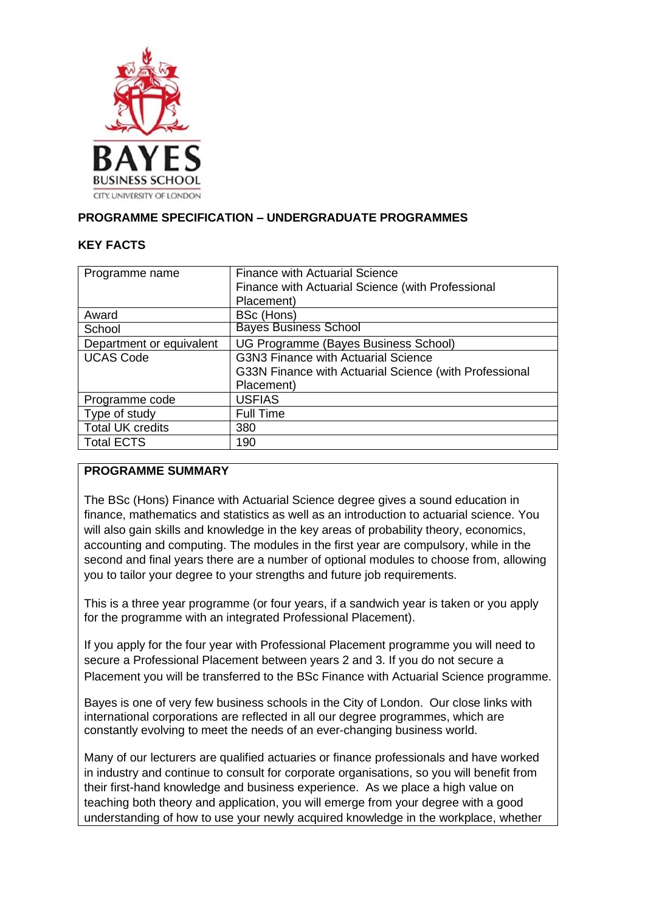

## **PROGRAMME SPECIFICATION – UNDERGRADUATE PROGRAMMES**

### **KEY FACTS**

| Programme name           | <b>Finance with Actuarial Science</b><br>Finance with Actuarial Science (with Professional<br>Placement) |
|--------------------------|----------------------------------------------------------------------------------------------------------|
| Award                    | BSc (Hons)                                                                                               |
| School                   | <b>Bayes Business School</b>                                                                             |
| Department or equivalent | UG Programme (Bayes Business School)                                                                     |
| <b>UCAS Code</b>         | <b>G3N3 Finance with Actuarial Science</b>                                                               |
|                          | G33N Finance with Actuarial Science (with Professional                                                   |
|                          | Placement)                                                                                               |
| Programme code           | <b>USFIAS</b>                                                                                            |
| Type of study            | <b>Full Time</b>                                                                                         |
| <b>Total UK credits</b>  | 380                                                                                                      |
| <b>Total ECTS</b>        | 190                                                                                                      |

## **PROGRAMME SUMMARY**

The BSc (Hons) Finance with Actuarial Science degree gives a sound education in finance, mathematics and statistics as well as an introduction to actuarial science. You will also gain skills and knowledge in the key areas of probability theory, economics, accounting and computing. The modules in the first year are compulsory, while in the second and final years there are a number of optional modules to choose from, allowing you to tailor your degree to your strengths and future job requirements.

This is a three year programme (or four years, if a sandwich year is taken or you apply for the programme with an integrated Professional Placement).

If you apply for the four year with Professional Placement programme you will need to secure a Professional Placement between years 2 and 3. If you do not secure a Placement you will be transferred to the BSc Finance with Actuarial Science programme.

Bayes is one of very few business schools in the City of London. Our close links with international corporations are reflected in all our degree programmes, which are constantly evolving to meet the needs of an ever-changing business world.

Many of our lecturers are qualified actuaries or finance professionals and have worked in industry and continue to consult for corporate organisations, so you will benefit from their first-hand knowledge and business experience. As we place a high value on teaching both theory and application, you will emerge from your degree with a good understanding of how to use your newly acquired knowledge in the workplace, whether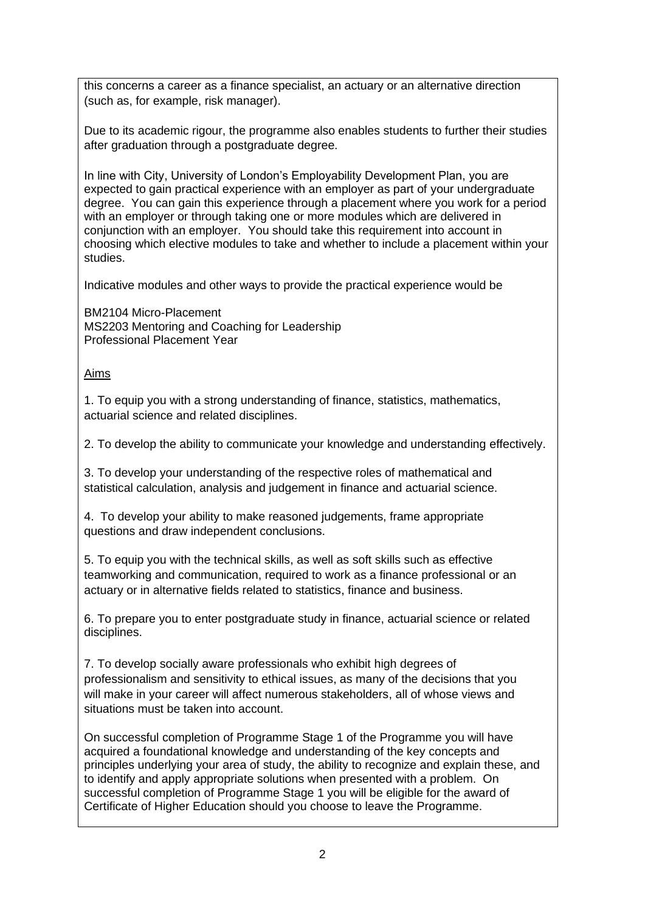this concerns a career as a finance specialist, an actuary or an alternative direction (such as, for example, risk manager).

Due to its academic rigour, the programme also enables students to further their studies after graduation through a postgraduate degree.

In line with City, University of London's Employability Development Plan, you are expected to gain practical experience with an employer as part of your undergraduate degree. You can gain this experience through a placement where you work for a period with an employer or through taking one or more modules which are delivered in conjunction with an employer. You should take this requirement into account in choosing which elective modules to take and whether to include a placement within your studies.

Indicative modules and other ways to provide the practical experience would be

BM2104 Micro-Placement MS2203 Mentoring and Coaching for Leadership Professional Placement Year

## Aims

1. To equip you with a strong understanding of finance, statistics, mathematics, actuarial science and related disciplines.

2. To develop the ability to communicate your knowledge and understanding effectively.

3. To develop your understanding of the respective roles of mathematical and statistical calculation, analysis and judgement in finance and actuarial science.

4. To develop your ability to make reasoned judgements, frame appropriate questions and draw independent conclusions.

5. To equip you with the technical skills, as well as soft skills such as effective teamworking and communication, required to work as a finance professional or an actuary or in alternative fields related to statistics, finance and business.

6. To prepare you to enter postgraduate study in finance, actuarial science or related disciplines.

7. To develop socially aware professionals who exhibit high degrees of professionalism and sensitivity to ethical issues, as many of the decisions that you will make in your career will affect numerous stakeholders, all of whose views and situations must be taken into account.

On successful completion of Programme Stage 1 of the Programme you will have acquired a foundational knowledge and understanding of the key concepts and principles underlying your area of study, the ability to recognize and explain these, and to identify and apply appropriate solutions when presented with a problem. On successful completion of Programme Stage 1 you will be eligible for the award of Certificate of Higher Education should you choose to leave the Programme.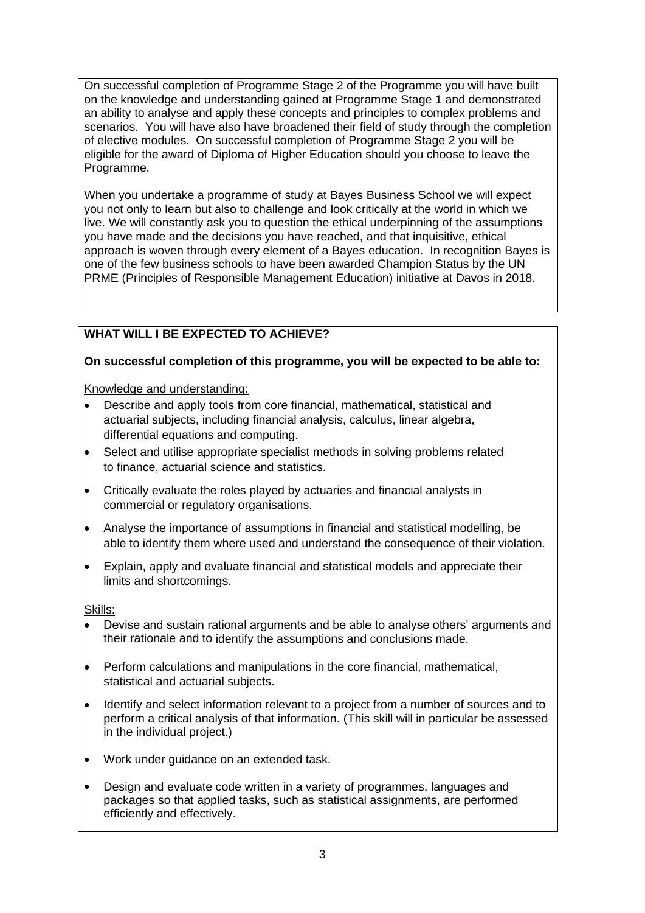On successful completion of Programme Stage 2 of the Programme you will have built on the knowledge and understanding gained at Programme Stage 1 and demonstrated an ability to analyse and apply these concepts and principles to complex problems and scenarios. You will have also have broadened their field of study through the completion of elective modules. On successful completion of Programme Stage 2 you will be eligible for the award of Diploma of Higher Education should you choose to leave the Programme.

When you undertake a programme of study at Bayes Business School we will expect you not only to learn but also to challenge and look critically at the world in which we live. We will constantly ask you to question the ethical underpinning of the assumptions you have made and the decisions you have reached, and that inquisitive, ethical approach is woven through every element of a Bayes education. In recognition Bayes is one of the few business schools to have been awarded Champion Status by the UN PRME (Principles of Responsible Management Education) initiative at Davos in 2018.

# **WHAT WILL I BE EXPECTED TO ACHIEVE?**

## **On successful completion of this programme, you will be expected to be able to:**

Knowledge and understanding:

- Describe and apply tools from core financial, mathematical, statistical and actuarial subjects, including financial analysis, calculus, linear algebra, differential equations and computing.
- Select and utilise appropriate specialist methods in solving problems related to finance, actuarial science and statistics.
- Critically evaluate the roles played by actuaries and financial analysts in commercial or regulatory organisations.
- Analyse the importance of assumptions in financial and statistical modelling, be able to identify them where used and understand the consequence of their violation.
- Explain, apply and evaluate financial and statistical models and appreciate their limits and shortcomings.

Skills:

- Devise and sustain rational arguments and be able to analyse others' arguments and their rationale and to identify the assumptions and conclusions made.
- Perform calculations and manipulations in the core financial, mathematical, statistical and actuarial subjects.
- Identify and select information relevant to a project from a number of sources and to perform a critical analysis of that information. (This skill will in particular be assessed in the individual project.)
- Work under guidance on an extended task.
- Design and evaluate code written in a variety of programmes, languages and packages so that applied tasks, such as statistical assignments, are performed efficiently and effectively.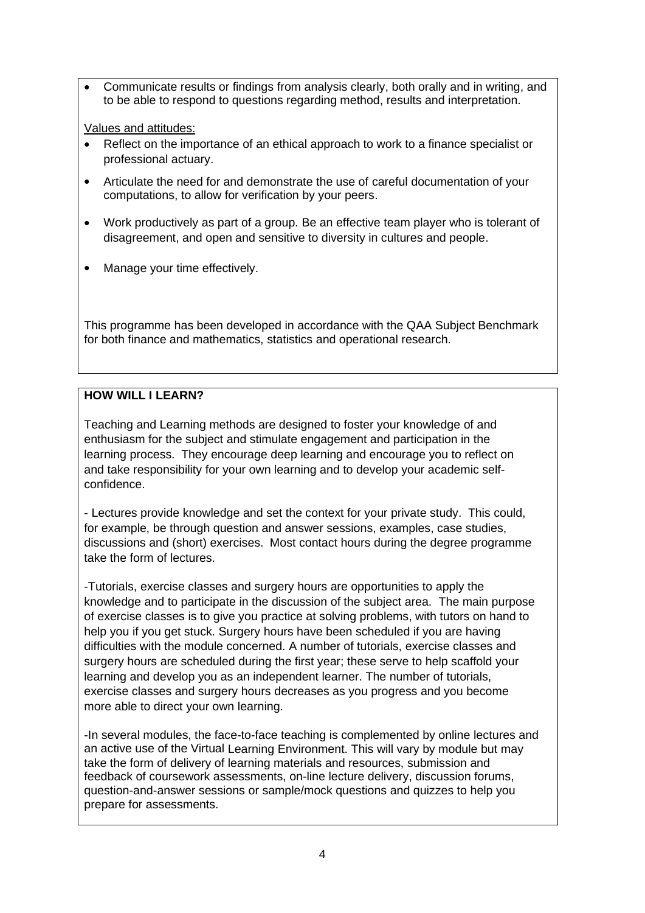• Communicate results or findings from analysis clearly, both orally and in writing, and to be able to respond to questions regarding method, results and interpretation.

Values and attitudes:

- Reflect on the importance of an ethical approach to work to a finance specialist or professional actuary.
- Articulate the need for and demonstrate the use of careful documentation of your computations, to allow for verification by your peers.
- Work productively as part of a group. Be an effective team player who is tolerant of disagreement, and open and sensitive to diversity in cultures and people.
- Manage your time effectively.

This programme has been developed in accordance with the QAA Subject Benchmark for both finance and mathematics, statistics and operational research.

# **HOW WILL I LEARN?**

Teaching and Learning methods are designed to foster your knowledge of and enthusiasm for the subject and stimulate engagement and participation in the learning process. They encourage deep learning and encourage you to reflect on and take responsibility for your own learning and to develop your academic selfconfidence.

- Lectures provide knowledge and set the context for your private study. This could, for example, be through question and answer sessions, examples, case studies, discussions and (short) exercises. Most contact hours during the degree programme take the form of lectures.

-Tutorials, exercise classes and surgery hours are opportunities to apply the knowledge and to participate in the discussion of the subject area. The main purpose of exercise classes is to give you practice at solving problems, with tutors on hand to help you if you get stuck. Surgery hours have been scheduled if you are having difficulties with the module concerned. A number of tutorials, exercise classes and surgery hours are scheduled during the first year; these serve to help scaffold your learning and develop you as an independent learner. The number of tutorials, exercise classes and surgery hours decreases as you progress and you become more able to direct your own learning.

-In several modules, the face-to-face teaching is complemented by online lectures and an active use of the Virtual Learning Environment. This will vary by module but may take the form of delivery of learning materials and resources, submission and feedback of coursework assessments, on-line lecture delivery, discussion forums, question-and-answer sessions or sample/mock questions and quizzes to help you prepare for assessments.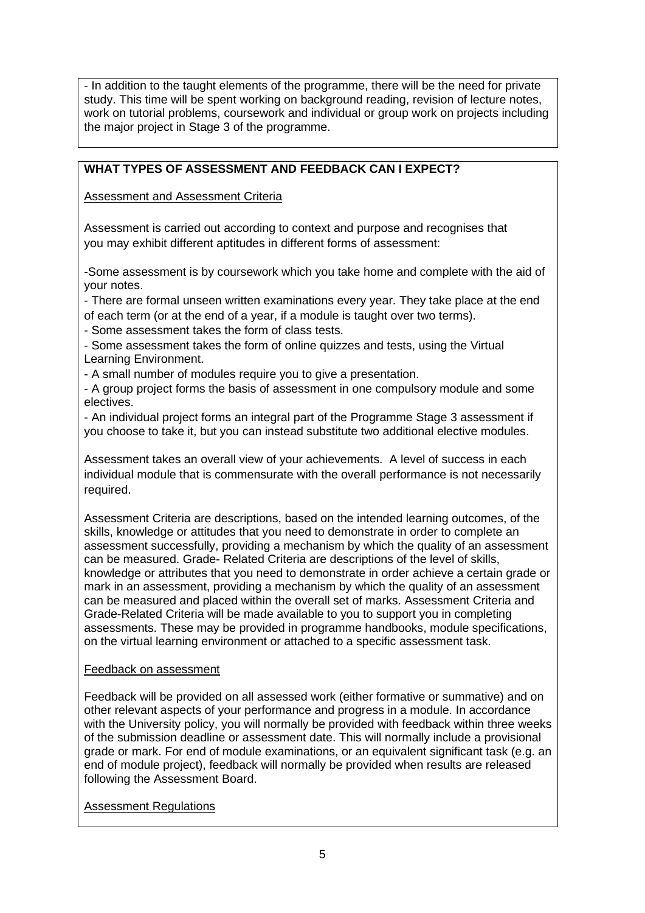- In addition to the taught elements of the programme, there will be the need for private study. This time will be spent working on background reading, revision of lecture notes, work on tutorial problems, coursework and individual or group work on projects including the major project in Stage 3 of the programme.

## **WHAT TYPES OF ASSESSMENT AND FEEDBACK CAN I EXPECT?**

Assessment and Assessment Criteria

Assessment is carried out according to context and purpose and recognises that you may exhibit different aptitudes in different forms of assessment:

-Some assessment is by coursework which you take home and complete with the aid of your notes.

- There are formal unseen written examinations every year. They take place at the end of each term (or at the end of a year, if a module is taught over two terms).

- Some assessment takes the form of class tests.
- Some assessment takes the form of online quizzes and tests, using the Virtual Learning Environment.

- A small number of modules require you to give a presentation.

- A group project forms the basis of assessment in one compulsory module and some electives.

- An individual project forms an integral part of the Programme Stage 3 assessment if you choose to take it, but you can instead substitute two additional elective modules.

Assessment takes an overall view of your achievements. A level of success in each individual module that is commensurate with the overall performance is not necessarily required.

Assessment Criteria are descriptions, based on the intended learning outcomes, of the skills, knowledge or attitudes that you need to demonstrate in order to complete an assessment successfully, providing a mechanism by which the quality of an assessment can be measured. Grade- Related Criteria are descriptions of the level of skills, knowledge or attributes that you need to demonstrate in order achieve a certain grade or mark in an assessment, providing a mechanism by which the quality of an assessment can be measured and placed within the overall set of marks. Assessment Criteria and Grade-Related Criteria will be made available to you to support you in completing assessments. These may be provided in programme handbooks, module specifications, on the virtual learning environment or attached to a specific assessment task*.*

#### Feedback on assessment

Feedback will be provided on all assessed work (either formative or summative) and on other relevant aspects of your performance and progress in a module. In accordance with the University policy, you will normally be provided with feedback within three weeks of the submission deadline or assessment date. This will normally include a provisional grade or mark. For end of module examinations, or an equivalent significant task (e.g. an end of module project), feedback will normally be provided when results are released following the Assessment Board.

## Assessment Regulations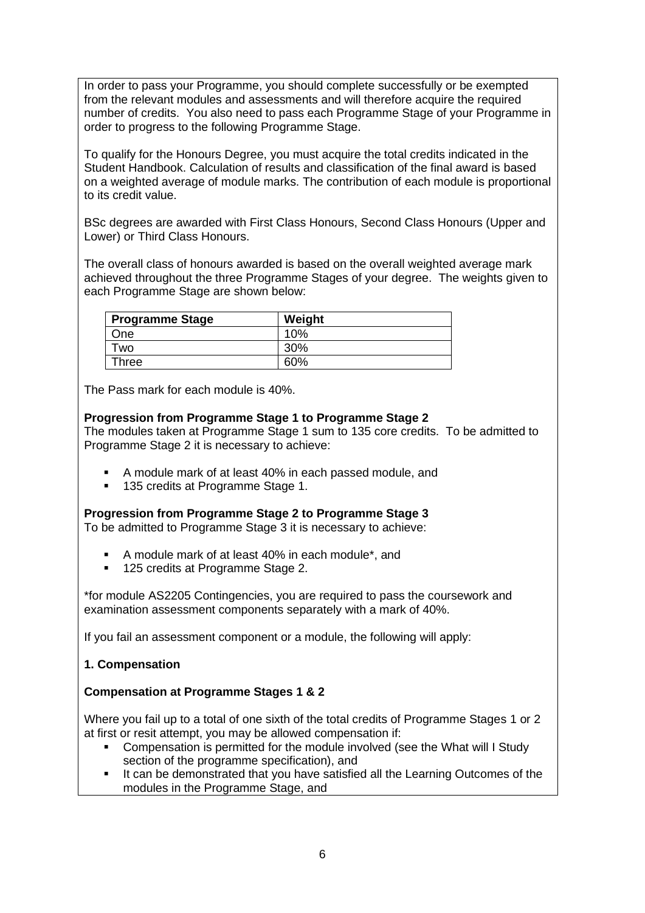In order to pass your Programme, you should complete successfully or be exempted from the relevant modules and assessments and will therefore acquire the required number of credits. You also need to pass each Programme Stage of your Programme in order to progress to the following Programme Stage.

To qualify for the Honours Degree, you must acquire the total credits indicated in the Student Handbook. Calculation of results and classification of the final award is based on a weighted average of module marks. The contribution of each module is proportional to its credit value.

BSc degrees are awarded with First Class Honours, Second Class Honours (Upper and Lower) or Third Class Honours.

The overall class of honours awarded is based on the overall weighted average mark achieved throughout the three Programme Stages of your degree. The weights given to each Programme Stage are shown below:

| <b>Programme Stage</b> | Weight |
|------------------------|--------|
| One                    | 10%    |
| Two                    | 30%    |
| Three                  | 60%    |

The Pass mark for each module is 40%.

**Progression from Programme Stage 1 to Programme Stage 2** The modules taken at Programme Stage 1 sum to 135 core credits. To be admitted to Programme Stage 2 it is necessary to achieve:

- A module mark of at least 40% in each passed module, and
- 135 credits at Programme Stage 1.

**Progression from Programme Stage 2 to Programme Stage 3** To be admitted to Programme Stage 3 it is necessary to achieve:

- A module mark of at least 40% in each module\*, and
- 125 credits at Programme Stage 2.

\*for module AS2205 Contingencies, you are required to pass the coursework and examination assessment components separately with a mark of 40%.

If you fail an assessment component or a module, the following will apply:

## **1. Compensation**

#### **Compensation at Programme Stages 1 & 2**

Where you fail up to a total of one sixth of the total credits of Programme Stages 1 or 2 at first or resit attempt, you may be allowed compensation if:

- Compensation is permitted for the module involved (see the What will I Study section of the programme specification), and
- It can be demonstrated that you have satisfied all the Learning Outcomes of the modules in the Programme Stage, and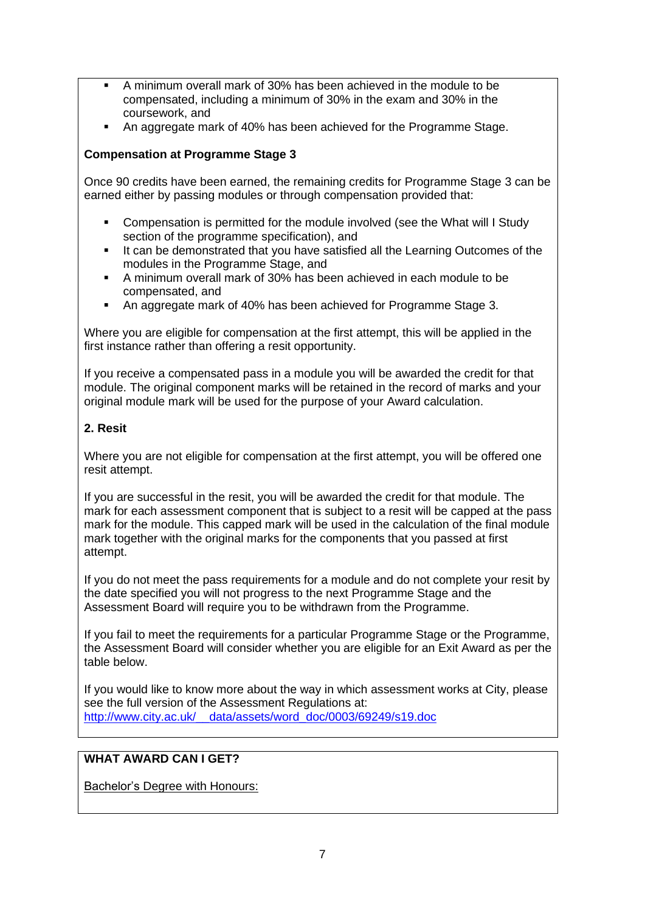- A minimum overall mark of 30% has been achieved in the module to be compensated, including a minimum of 30% in the exam and 30% in the coursework, and
- An aggregate mark of 40% has been achieved for the Programme Stage.

### **Compensation at Programme Stage 3**

Once 90 credits have been earned, the remaining credits for Programme Stage 3 can be earned either by passing modules or through compensation provided that:

- Compensation is permitted for the module involved (see the What will I Study section of the programme specification), and
- It can be demonstrated that you have satisfied all the Learning Outcomes of the modules in the Programme Stage, and
- A minimum overall mark of 30% has been achieved in each module to be compensated, and
- An aggregate mark of 40% has been achieved for Programme Stage 3.

Where you are eligible for compensation at the first attempt, this will be applied in the first instance rather than offering a resit opportunity.

If you receive a compensated pass in a module you will be awarded the credit for that module. The original component marks will be retained in the record of marks and your original module mark will be used for the purpose of your Award calculation.

### **2. Resit**

Where you are not eligible for compensation at the first attempt, you will be offered one resit attempt.

If you are successful in the resit, you will be awarded the credit for that module. The mark for each assessment component that is subject to a resit will be capped at the pass mark for the module. This capped mark will be used in the calculation of the final module mark together with the original marks for the components that you passed at first attempt.

If you do not meet the pass requirements for a module and do not complete your resit by the date specified you will not progress to the next Programme Stage and the Assessment Board will require you to be withdrawn from the Programme.

If you fail to meet the requirements for a particular Programme Stage or the Programme, the Assessment Board will consider whether you are eligible for an Exit Award as per the table below.

If you would like to know more about the way in which assessment works at City, please see the full version of the Assessment Regulations at: [http://www.city.ac.uk/\\_\\_data/assets/word\\_doc/0003/69249/s19.doc](http://www.city.ac.uk/__data/assets/word_doc/0003/69249/s19.doc)

## **WHAT AWARD CAN I GET?**

Bachelor's Degree with Honours: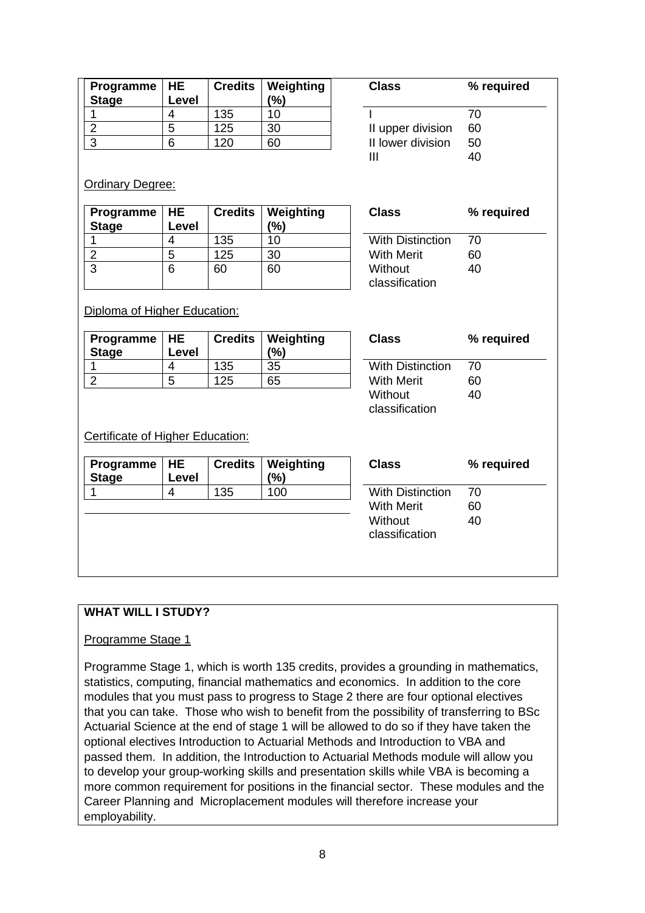| Programme<br><b>Stage</b>                      | <b>HE</b><br>Level | <b>Credits</b> | Weighting<br>(%) | <b>Class</b>                 | % required |
|------------------------------------------------|--------------------|----------------|------------------|------------------------------|------------|
| 1                                              | 4                  | 135            | 10               |                              | 70         |
| $\overline{2}$                                 | $\overline{5}$     | 125            | 30               | II upper division            | 60         |
| 3                                              | $6\phantom{1}6$    | 120            | 60               | II lower division            | 50         |
|                                                |                    |                |                  | III                          | 40         |
| <b>Ordinary Degree:</b><br>Programme           | <b>HE</b>          | <b>Credits</b> | Weighting        | <b>Class</b>                 | % required |
| <b>Stage</b>                                   | Level              |                | (%)              |                              |            |
| 1                                              | 4                  | 135            | 10               | <b>With Distinction</b>      | 70         |
| $\overline{2}$                                 | 5                  | 125            | 30               | <b>With Merit</b>            | 60         |
|                                                | 6                  | 60             | 60               | Without                      | 40         |
| $\overline{3}$<br>Diploma of Higher Education: |                    |                |                  | classification               |            |
| Programme<br><b>Stage</b>                      | <b>HE</b><br>Level | <b>Credits</b> | Weighting<br>(%) | <b>Class</b>                 | % required |
| 1                                              | $\overline{4}$     | 135            | 35               | <b>With Distinction</b>      | 70         |
|                                                | $\overline{5}$     | 125            | 65               | <b>With Merit</b>            | 60         |
| $\overline{2}$                                 |                    |                |                  | Without<br>classification    | 40         |
| Certificate of Higher Education:<br>Programme  | <b>HE</b>          | <b>Credits</b> | Weighting        | <b>Class</b>                 | % required |
| <b>Stage</b>                                   | Level              |                | $(\%)$           |                              |            |
| 1                                              | 4                  | 135            | 100              | <b>With Distinction</b>      | 70         |
|                                                |                    |                |                  | <b>With Merit</b><br>Without | 60<br>40   |

## **WHAT WILL I STUDY?**

#### Programme Stage 1

Programme Stage 1, which is worth 135 credits, provides a grounding in mathematics, statistics, computing, financial mathematics and economics. In addition to the core modules that you must pass to progress to Stage 2 there are four optional electives that you can take. Those who wish to benefit from the possibility of transferring to BSc Actuarial Science at the end of stage 1 will be allowed to do so if they have taken the optional electives Introduction to Actuarial Methods and Introduction to VBA and passed them. In addition, the Introduction to Actuarial Methods module will allow you to develop your group-working skills and presentation skills while VBA is becoming a more common requirement for positions in the financial sector. These modules and the Career Planning and Microplacement modules will therefore increase your employability.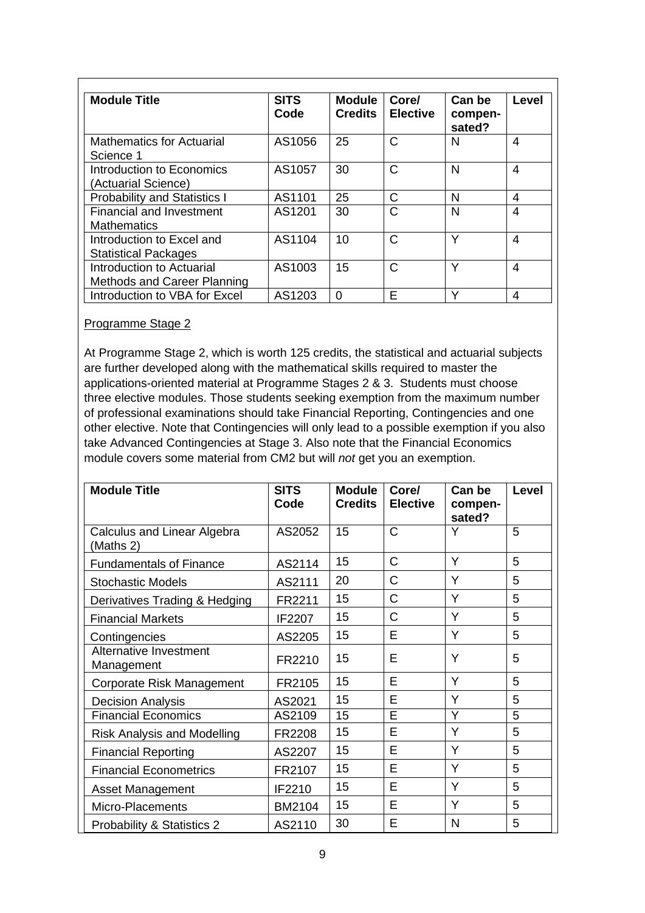| <b>Module Title</b>                                      | <b>SITS</b><br>Code | <b>Module</b><br><b>Credits</b> | Core/<br><b>Elective</b> | Can be<br>compen-<br>sated? | Level |
|----------------------------------------------------------|---------------------|---------------------------------|--------------------------|-----------------------------|-------|
| <b>Mathematics for Actuarial</b><br>Science 1            | AS1056              | 25                              | C                        | N                           | 4     |
| Introduction to Economics<br>(Actuarial Science)         | AS1057              | 30                              | C                        | N                           | 4     |
| <b>Probability and Statistics I</b>                      | AS1101              | 25                              | C                        | N                           | 4     |
| <b>Financial and Investment</b><br><b>Mathematics</b>    | AS1201              | 30                              | C                        | N                           | 4     |
| Introduction to Excel and<br><b>Statistical Packages</b> | AS1104              | 10                              | $\mathsf{C}$             | v                           | 4     |
| Introduction to Actuarial<br>Methods and Career Planning | AS1003              | 15                              | C                        | Υ                           | 4     |
| Introduction to VBA for Excel                            | AS1203              | $\Omega$                        | E                        | $\checkmark$                | 4     |

#### Programme Stage 2

At Programme Stage 2, which is worth 125 credits, the statistical and actuarial subjects are further developed along with the mathematical skills required to master the applications-oriented material at Programme Stages 2 & 3. Students must choose three elective modules. Those students seeking exemption from the maximum number of professional examinations should take Financial Reporting, Contingencies and one other elective. Note that Contingencies will only lead to a possible exemption if you also take Advanced Contingencies at Stage 3. Also note that the Financial Economics module covers some material from CM2 but will *not* get you an exemption.

| <b>Module Title</b>                      | <b>SITS</b><br>Code | <b>Module</b><br><b>Credits</b> | Core/<br><b>Elective</b> | Can be<br>compen-<br>sated? | Level |
|------------------------------------------|---------------------|---------------------------------|--------------------------|-----------------------------|-------|
| Calculus and Linear Algebra<br>(Maths 2) | AS2052              | 15                              | C                        | Y                           | 5     |
| <b>Fundamentals of Finance</b>           | AS2114              | 15                              | C                        | Y                           | 5     |
| <b>Stochastic Models</b>                 | AS2111              | 20                              | C                        | Y                           | 5     |
| Derivatives Trading & Hedging            | FR2211              | 15                              | C                        | Y                           | 5     |
| <b>Financial Markets</b>                 | IF2207              | 15                              | C                        | Y                           | 5     |
| Contingencies                            | AS2205              | 15                              | E                        | Y                           | 5     |
| Alternative Investment<br>Management     | FR2210              | 15                              | Е                        | Y                           | 5     |
| Corporate Risk Management                | FR2105              | 15                              | E                        | Y                           | 5     |
| <b>Decision Analysis</b>                 | AS2021              | 15                              | E                        | Y                           | 5     |
| <b>Financial Economics</b>               | AS2109              | 15                              | E                        | Y                           | 5     |
| <b>Risk Analysis and Modelling</b>       | FR2208              | 15                              | E                        | Υ                           | 5     |
| <b>Financial Reporting</b>               | AS2207              | 15                              | E                        | Y                           | 5     |
| <b>Financial Econometrics</b>            | FR2107              | 15                              | E                        | Y                           | 5     |
| <b>Asset Management</b>                  | IF2210              | 15                              | E                        | Y                           | 5     |
| Micro-Placements                         | BM2104              | 15                              | Е                        | Y                           | 5     |
| <b>Probability &amp; Statistics 2</b>    | AS2110              | 30                              | Е                        | N                           | 5     |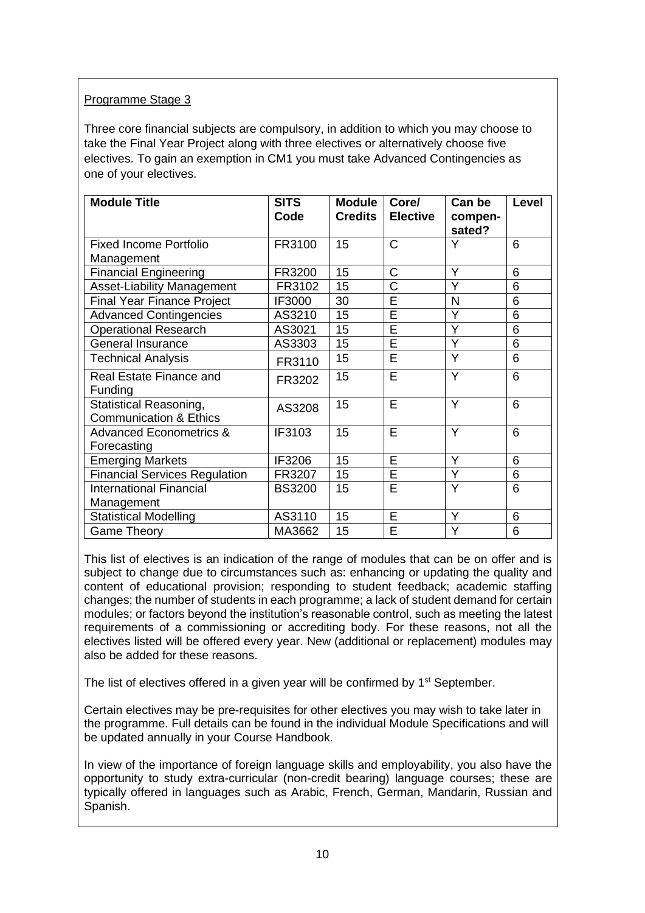## Programme Stage 3

Three core financial subjects are compulsory, in addition to which you may choose to take the Final Year Project along with three electives or alternatively choose five electives. To gain an exemption in CM1 you must take Advanced Contingencies as one of your electives.

| <b>Module Title</b>                  | <b>SITS</b><br>Code | <b>Module</b><br><b>Credits</b> | Core/<br><b>Elective</b> | Can be<br>compen- | Level |
|--------------------------------------|---------------------|---------------------------------|--------------------------|-------------------|-------|
|                                      |                     |                                 |                          | sated?            |       |
| <b>Fixed Income Portfolio</b>        | FR3100              | 15                              | Ć                        | Y                 | 6     |
| Management                           |                     |                                 |                          |                   |       |
| <b>Financial Engineering</b>         | FR3200              | 15                              | C                        | Y                 | 6     |
| <b>Asset-Liability Management</b>    | FR3102              | 15                              | Ć                        | Y                 | 6     |
| <b>Final Year Finance Project</b>    | IF3000              | 30                              | E                        | N                 | 6     |
| <b>Advanced Contingencies</b>        | AS3210              | 15                              | Ē                        | Y                 | 6     |
| <b>Operational Research</b>          | AS3021              | 15                              | Ē                        | Y                 | 6     |
| <b>General Insurance</b>             | AS3303              | 15                              | Ē                        | Y                 | 6     |
| <b>Technical Analysis</b>            | FR3110              | 15                              | Ē                        | Y                 | 6     |
| <b>Real Estate Finance and</b>       | FR3202              | 15                              | E                        | Y                 | 6     |
| Funding                              |                     |                                 |                          |                   |       |
| <b>Statistical Reasoning,</b>        | AS3208              | 15                              | E                        | Y                 | 6     |
| <b>Communication &amp; Ethics</b>    |                     |                                 |                          |                   |       |
| <b>Advanced Econometrics &amp;</b>   | IF3103              | 15                              | E                        | Y                 | 6     |
| Forecasting                          |                     |                                 |                          |                   |       |
| <b>Emerging Markets</b>              | IF3206              | 15                              | E                        | Y                 | 6     |
| <b>Financial Services Regulation</b> | FR3207              | 15                              | E                        | Y                 | 6     |
| <b>International Financial</b>       | <b>BS3200</b>       | 15                              | E                        | Y                 | 6     |
| Management                           |                     |                                 |                          |                   |       |
| <b>Statistical Modelling</b>         | AS3110              | 15                              | E                        | Y                 | 6     |
| <b>Game Theory</b>                   | MA3662              | 15                              | E                        | Y                 | 6     |

This list of electives is an indication of the range of modules that can be on offer and is subject to change due to circumstances such as: enhancing or updating the quality and content of educational provision; responding to student feedback; academic staffing changes; the number of students in each programme; a lack of student demand for certain modules; or factors beyond the institution's reasonable control, such as meeting the latest requirements of a commissioning or accrediting body. For these reasons, not all the electives listed will be offered every year. New (additional or replacement) modules may also be added for these reasons.

The list of electives offered in a given year will be confirmed by 1<sup>st</sup> September.

Certain electives may be pre-requisites for other electives you may wish to take later in the programme. Full details can be found in the individual Module Specifications and will be updated annually in your Course Handbook.

In view of the importance of foreign language skills and employability, you also have the opportunity to study extra-curricular (non-credit bearing) language courses; these are typically offered in languages such as Arabic, French, German, Mandarin, Russian and Spanish.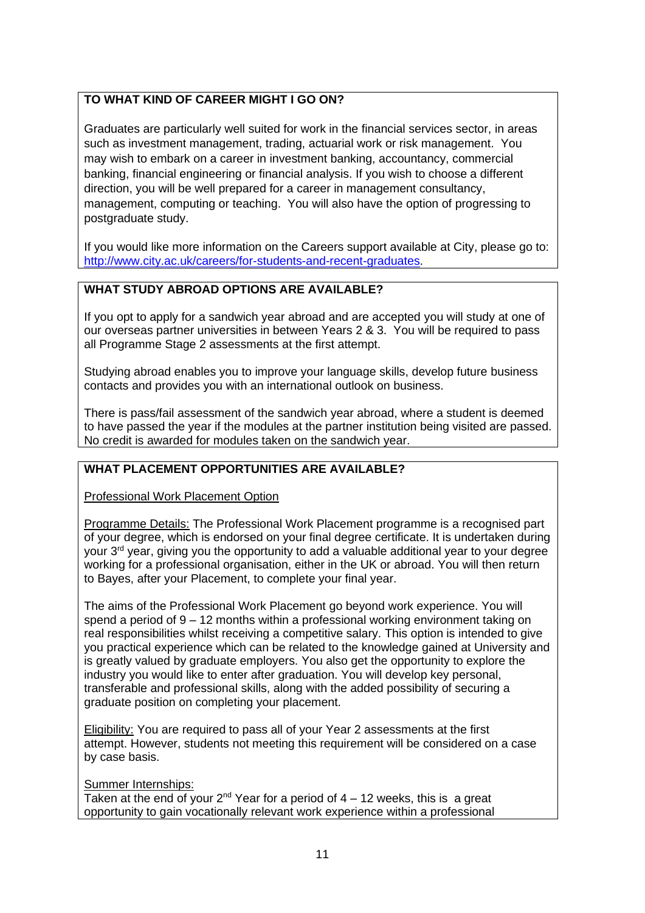## **TO WHAT KIND OF CAREER MIGHT I GO ON?**

Graduates are particularly well suited for work in the financial services sector, in areas such as investment management, trading, actuarial work or risk management. You may wish to embark on a career in investment banking, accountancy, commercial banking, financial engineering or financial analysis. If you wish to choose a different direction, you will be well prepared for a career in management consultancy, management, computing or teaching. You will also have the option of progressing to postgraduate study.

If you would like more information on the Careers support available at City, please go to: [http://www.city.ac.uk/careers/for-students-and-recent-graduates.](http://www.city.ac.uk/careers/for-students-and-recent-graduates)

## **WHAT STUDY ABROAD OPTIONS ARE AVAILABLE?**

If you opt to apply for a sandwich year abroad and are accepted you will study at one of our overseas partner universities in between Years 2 & 3. You will be required to pass all Programme Stage 2 assessments at the first attempt.

Studying abroad enables you to improve your language skills, develop future business contacts and provides you with an international outlook on business.

There is pass/fail assessment of the sandwich year abroad, where a student is deemed to have passed the year if the modules at the partner institution being visited are passed. No credit is awarded for modules taken on the sandwich year.

## **WHAT PLACEMENT OPPORTUNITIES ARE AVAILABLE?**

Professional Work Placement Option

Programme Details: The Professional Work Placement programme is a recognised part of your degree, which is endorsed on your final degree certificate. It is undertaken during your 3<sup>rd</sup> year, giving you the opportunity to add a valuable additional year to your degree working for a professional organisation, either in the UK or abroad. You will then return to Bayes, after your Placement, to complete your final year.

The aims of the Professional Work Placement go beyond work experience. You will spend a period of 9 – 12 months within a professional working environment taking on real responsibilities whilst receiving a competitive salary. This option is intended to give you practical experience which can be related to the knowledge gained at University and is greatly valued by graduate employers. You also get the opportunity to explore the industry you would like to enter after graduation. You will develop key personal, transferable and professional skills, along with the added possibility of securing a graduate position on completing your placement.

Eligibility: You are required to pass all of your Year 2 assessments at the first attempt. However, students not meeting this requirement will be considered on a case by case basis.

### Summer Internships:

Taken at the end of your  $2^{nd}$  Year for a period of  $4 - 12$  weeks, this is a great opportunity to gain vocationally relevant work experience within a professional